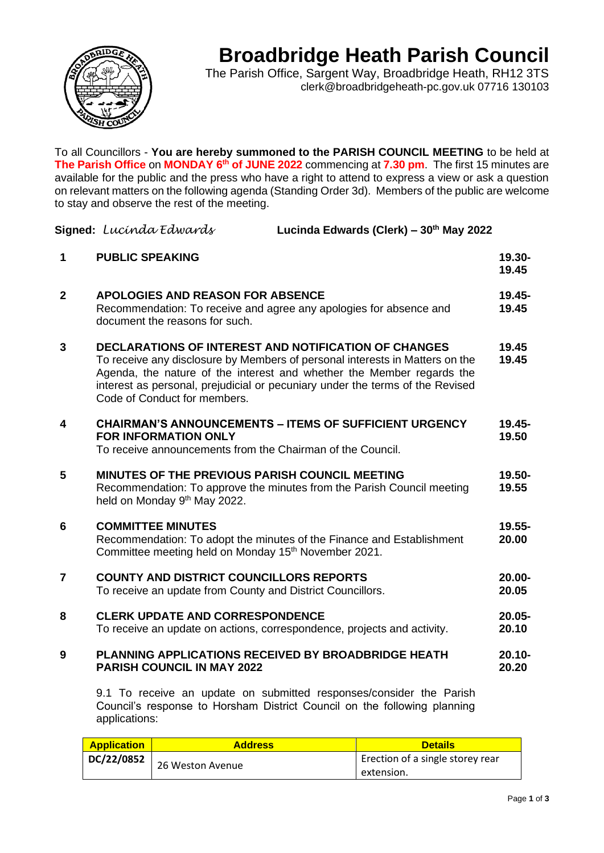

## **Broadbridge Heath Parish Council**

The Parish Office, Sargent Way, Broadbridge Heath, RH12 3TS clerk@broadbridgeheath-pc.gov.uk 07716 130103

To all Councillors - **You are hereby summoned to the PARISH COUNCIL MEETING** to be held at **The Parish Office** on **MONDAY 6<sup>th</sup> of JUNE 2022** commencing at **7.30 pm**. The first 15 minutes are available for the public and the press who have a right to attend to express a view or ask a question on relevant matters on the following agenda (Standing Order 3d). Members of the public are welcome to stay and observe the rest of the meeting.

|                | Signed: Lucínda Edwards                                                                                                                                                                                                                                                                                                               | Lucinda Edwards (Clerk) - 30th May 2022                                |                    |
|----------------|---------------------------------------------------------------------------------------------------------------------------------------------------------------------------------------------------------------------------------------------------------------------------------------------------------------------------------------|------------------------------------------------------------------------|--------------------|
| 1              | <b>PUBLIC SPEAKING</b>                                                                                                                                                                                                                                                                                                                |                                                                        | 19.30-<br>19.45    |
| $\mathbf{2}$   | <b>APOLOGIES AND REASON FOR ABSENCE</b><br>Recommendation: To receive and agree any apologies for absence and<br>document the reasons for such.                                                                                                                                                                                       |                                                                        | 19.45-<br>19.45    |
| 3              | <b>DECLARATIONS OF INTEREST AND NOTIFICATION OF CHANGES</b><br>To receive any disclosure by Members of personal interests in Matters on the<br>Agenda, the nature of the interest and whether the Member regards the<br>interest as personal, prejudicial or pecuniary under the terms of the Revised<br>Code of Conduct for members. |                                                                        | 19.45<br>19.45     |
| 4              | <b>FOR INFORMATION ONLY</b><br>To receive announcements from the Chairman of the Council.                                                                                                                                                                                                                                             | <b>CHAIRMAN'S ANNOUNCEMENTS - ITEMS OF SUFFICIENT URGENCY</b>          | $19.45 -$<br>19.50 |
| 5              | MINUTES OF THE PREVIOUS PARISH COUNCIL MEETING<br>held on Monday 9 <sup>th</sup> May 2022.                                                                                                                                                                                                                                            | Recommendation: To approve the minutes from the Parish Council meeting | 19.50-<br>19.55    |
| 6              | <b>COMMITTEE MINUTES</b><br>Committee meeting held on Monday 15 <sup>th</sup> November 2021.                                                                                                                                                                                                                                          | Recommendation: To adopt the minutes of the Finance and Establishment  | 19.55-<br>20.00    |
| $\overline{7}$ | <b>COUNTY AND DISTRICT COUNCILLORS REPORTS</b><br>To receive an update from County and District Councillors.                                                                                                                                                                                                                          |                                                                        | 20.00-<br>20.05    |
| 8              | <b>CLERK UPDATE AND CORRESPONDENCE</b><br>To receive an update on actions, correspondence, projects and activity.                                                                                                                                                                                                                     |                                                                        | 20.05-<br>20.10    |
| 9              | PLANNING APPLICATIONS RECEIVED BY BROADBRIDGE HEATH<br><b>PARISH COUNCIL IN MAY 2022</b>                                                                                                                                                                                                                                              |                                                                        | $20.10 -$<br>20.20 |
|                |                                                                                                                                                                                                                                                                                                                                       | 9.1 To receive an update on submitted responses/consider the Parish    |                    |

Council's response to Horsham District Council on the following planning applications:

| <b>Application</b> | <b>Address</b>   | <b>Details</b>                   |
|--------------------|------------------|----------------------------------|
| DC/22/0852         | 26 Weston Avenue | Erection of a single storey rear |
|                    |                  | extension.                       |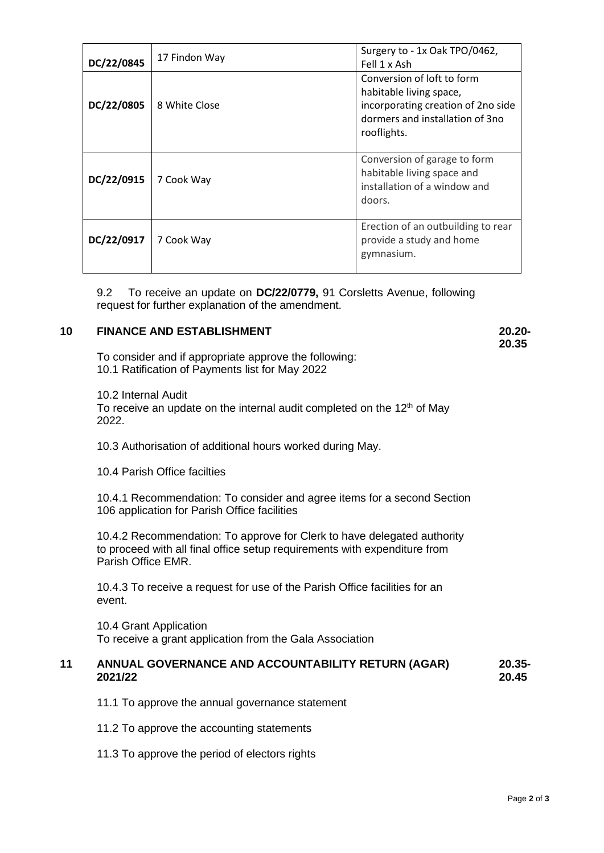| DC/22/0845 | 17 Findon Way | Surgery to - 1x Oak TPO/0462,<br>Fell 1 x Ash                                                                                                 |
|------------|---------------|-----------------------------------------------------------------------------------------------------------------------------------------------|
| DC/22/0805 | 8 White Close | Conversion of loft to form<br>habitable living space,<br>incorporating creation of 2no side<br>dormers and installation of 3no<br>rooflights. |
| DC/22/0915 | 7 Cook Way    | Conversion of garage to form<br>habitable living space and<br>installation of a window and<br>doors.                                          |
| DC/22/0917 | 7 Cook Way    | Erection of an outbuilding to rear<br>provide a study and home<br>gymnasium.                                                                  |

9.2 To receive an update on **DC/22/0779,** 91 Corsletts Avenue, following request for further explanation of the amendment.

## **10 FINANCE AND ESTABLISHMENT 20.20-**

**20.35**

To consider and if appropriate approve the following: 10.1 Ratification of Payments list for May 2022

10.2 Internal Audit To receive an update on the internal audit completed on the  $12<sup>th</sup>$  of May 2022.

10.3 Authorisation of additional hours worked during May.

10.4 Parish Office facilties

10.4.1 Recommendation: To consider and agree items for a second Section 106 application for Parish Office facilities

10.4.2 Recommendation: To approve for Clerk to have delegated authority to proceed with all final office setup requirements with expenditure from Parish Office EMR.

10.4.3 To receive a request for use of the Parish Office facilities for an event.

10.4 Grant Application To receive a grant application from the Gala Association

## **11 ANNUAL GOVERNANCE AND ACCOUNTABILITY RETURN (AGAR) 2021/22 20.35- 20.45**

11.1 To approve the annual governance statement

- 11.2 To approve the accounting statements
- 11.3 To approve the period of electors rights